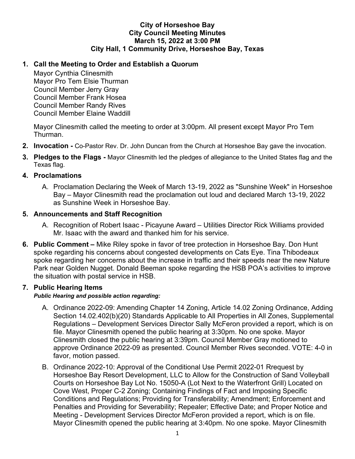# **City of Horseshoe Bay City Council Meeting Minutes March 15, 2022 at 3:00 PM City Hall, 1 Community Drive, Horseshoe Bay, Texas**

# **1. Call the Meeting to Order and Establish a Quorum**

Mayor Cynthia Clinesmith Mayor Pro Tem Elsie Thurman Council Member Jerry Gray Council Member Frank Hosea Council Member Randy Rives Council Member Elaine Waddill

Mayor Clinesmith called the meeting to order at 3:00pm. All present except Mayor Pro Tem Thurman.

- **2. Invocation -** Co-Pastor Rev. Dr. John Duncan from the Church at Horseshoe Bay gave the invocation.
- **3. Pledges to the Flags -** Mayor Clinesmith led the pledges of allegiance to the United States flag and the Texas flag.

# **4. Proclamations**

A. Proclamation Declaring the Week of March 13-19, 2022 as "Sunshine Week" in Horseshoe Bay – Mayor Clinesmith read the proclamation out loud and declared March 13-19, 2022 as Sunshine Week in Horseshoe Bay.

# **5. Announcements and Staff Recognition**

- A. Recognition of Robert Isaac Picayune Award Utilities Director Rick Williams provided Mr. Isaac with the award and thanked him for his service.
- **6. Public Comment –** Mike Riley spoke in favor of tree protection in Horseshoe Bay. Don Hunt spoke regarding his concerns about congested developments on Cats Eye. Tina Thibodeaux spoke regarding her concerns about the increase in traffic and their speeds near the new Nature Park near Golden Nugget. Donald Beeman spoke regarding the HSB POA's activities to improve the situation with postal service in HSB.

# **7. Public Hearing Items**

# *Public Hearing and possible action regarding:*

- A. Ordinance 2022-09: Amending Chapter 14 Zoning, Article 14.02 Zoning Ordinance, Adding Section 14.02.402(b)(20) Standards Applicable to All Properties in All Zones, Supplemental Regulations – Development Services Director Sally McFeron provided a report, which is on file. Mayor Clinesmith opened the public hearing at 3:30pm. No one spoke. Mayor Clinesmith closed the public hearing at 3:39pm. Council Member Gray motioned to approve Ordinance 2022-09 as presented. Council Member Rives seconded. VOTE: 4-0 in favor, motion passed.
- B. Ordinance 2022-10: Approval of the Conditional Use Permit 2022-01 Rrequest by Horseshoe Bay Resort Development, LLC to Allow for the Construction of Sand Volleyball Courts on Horseshoe Bay Lot No. 15050-A (Lot Next to the Waterfront Grill) Located on Cove West, Proper C-2 Zoning; Containing Findings of Fact and Imposing Specific Conditions and Regulations; Providing for Transferability; Amendment; Enforcement and Penalties and Providing for Severability; Repealer; Effective Date; and Proper Notice and Meeting - Development Services Director McFeron provided a report, which is on file. Mayor Clinesmith opened the public hearing at 3:40pm. No one spoke. Mayor Clinesmith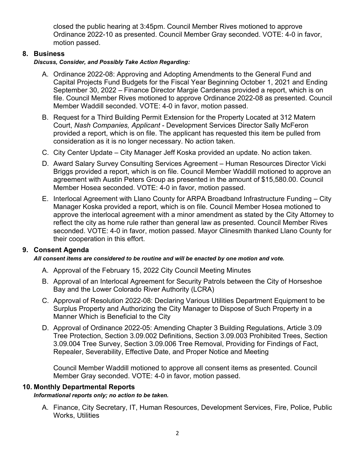closed the public hearing at 3:45pm. Council Member Rives motioned to approve Ordinance 2022-10 as presented. Council Member Gray seconded. VOTE: 4-0 in favor, motion passed.

# **8. Business**

#### *Discuss, Consider, and Possibly Take Action Regarding:*

- A. Ordinance 2022-08: Approving and Adopting Amendments to the General Fund and Capital Projects Fund Budgets for the Fiscal Year Beginning October 1, 2021 and Ending September 30, 2022 – Finance Director Margie Cardenas provided a report, which is on file. Council Member Rives motioned to approve Ordinance 2022-08 as presented. Council Member Waddill seconded. VOTE: 4-0 in favor, motion passed.
- B. Request for a Third Building Permit Extension for the Property Located at 312 Matern Court, *Nash Companies, Applicant* - Development Services Director Sally McFeron provided a report, which is on file. The applicant has requested this item be pulled from consideration as it is no longer necessary. No action taken.
- C. City Center Update City Manager Jeff Koska provided an update. No action taken.
- D. Award Salary Survey Consulting Services Agreement Human Resources Director Vicki Briggs provided a report, which is on file. Council Member Waddill motioned to approve an agreement with Austin Peters Group as presented in the amount of \$15,580.00. Council Member Hosea seconded. VOTE: 4-0 in favor, motion passed.
- E. Interlocal Agreement with Llano County for ARPA Broadband Infrastructure Funding City Manager Koska provided a report, which is on file. Council Member Hosea motioned to approve the interlocal agreement with a minor amendment as stated by the City Attorney to reflect the city as home rule rather than general law as presented. Council Member Rives seconded. VOTE: 4-0 in favor, motion passed. Mayor Clinesmith thanked Llano County for their cooperation in this effort.

# **9. Consent Agenda**

# *All consent items are considered to be routine and will be enacted by one motion and vote.*

- A. Approval of the February 15, 2022 City Council Meeting Minutes
- B. Approval of an Interlocal Agreement for Security Patrols between the City of Horseshoe Bay and the Lower Colorado River Authority (LCRA)
- C. Approval of Resolution 2022-08: Declaring Various Utilities Department Equipment to be Surplus Property and Authorizing the City Manager to Dispose of Such Property in a Manner Which is Beneficial to the City
- D. Approval of Ordinance 2022-05: Amending Chapter 3 Building Regulations, Article 3.09 Tree Protection, Section 3.09.002 Definitions, Section 3.09.003 Prohibited Trees, Section 3.09.004 Tree Survey, Section 3.09.006 Tree Removal, Providing for Findings of Fact, Repealer, Severability, Effective Date, and Proper Notice and Meeting

Council Member Waddill motioned to approve all consent items as presented. Council Member Gray seconded. VOTE: 4-0 in favor, motion passed.

# **10. Monthly Departmental Reports**

# *Informational reports only; no action to be taken.*

 A. Finance, City Secretary, IT, Human Resources, Development Services, Fire, Police, Public Works, Utilities